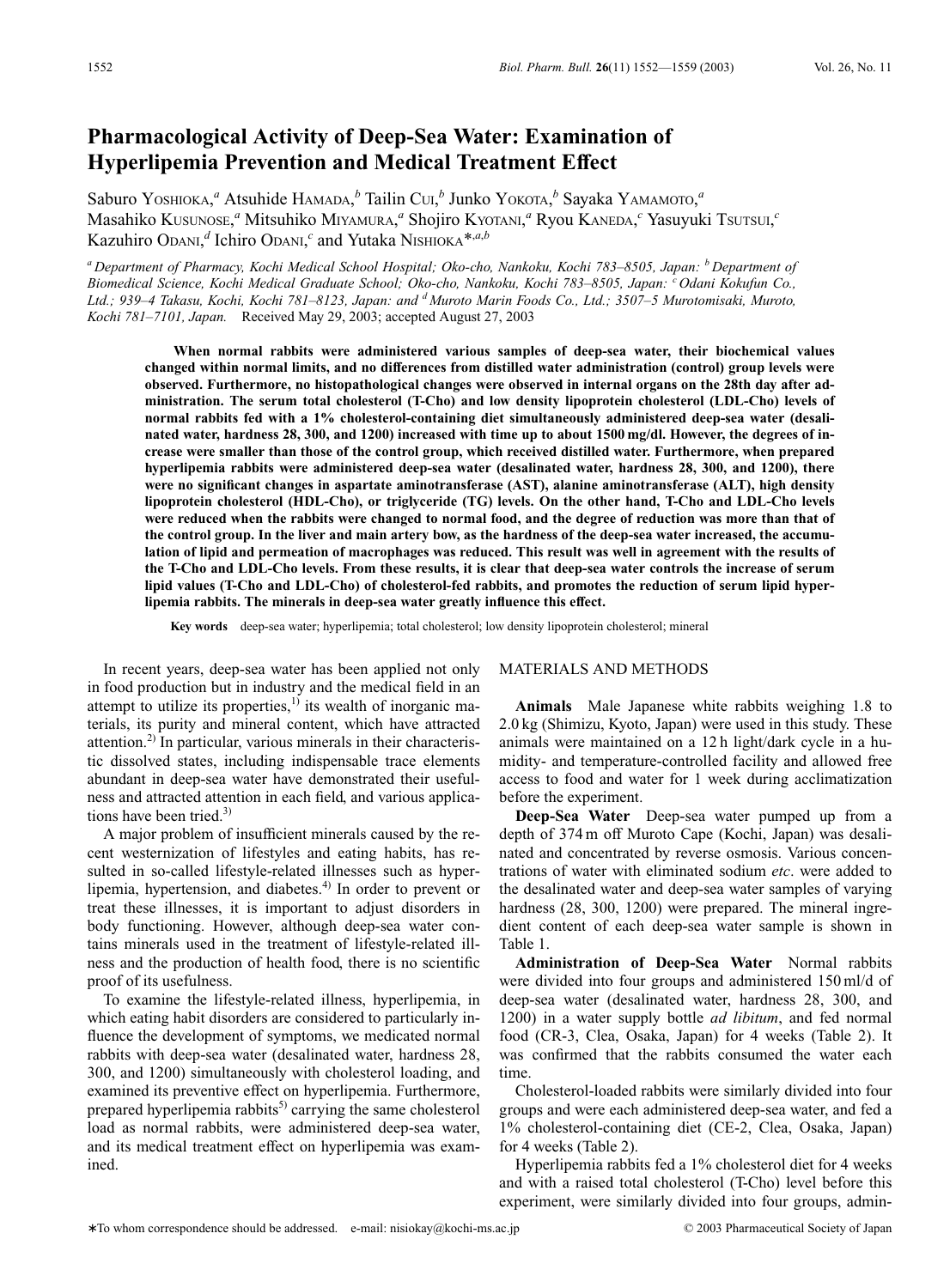# **Pharmacological Activity of Deep-Sea Water: Examination of Hyperlipemia Prevention and Medical Treatment Effect**

Saburo Yosнюка,<sup>а</sup> Atsuhide Намара,<sup>*b*</sup> Tailin CUI,<sup>*b*</sup> Junko Yoкота,<sup>*b*</sup> Sayaka Yамамото,<sup>а</sup> Masahiko Kusunose, <sup>*a*</sup> Mitsuhiko Miyamura, <sup>*a*</sup> Shojiro Kyotani, <sup>*a*</sup> Ryou Kaneda, <sup>*c*</sup> Yasuyuki Tsutsui, <sup>*c*</sup> Kazuhiro Odani,<sup>*d*</sup> Ichiro Odani,<sup>*c*</sup> and Yutaka Nishloka<sup>\*,*a*,*b*</sup>

*<sup>a</sup> Department of Pharmacy, Kochi Medical School Hospital; Oko-cho, Nankoku, Kochi 783–8505, Japan: <sup>b</sup> Department of Biomedical Science, Kochi Medical Graduate School; Oko-cho, Nankoku, Kochi 783–8505, Japan: <sup>c</sup> Odani Kokufun Co., Ltd.; 939–4 Takasu, Kochi, Kochi 781–8123, Japan: and <sup>d</sup> Muroto Marin Foods Co., Ltd.; 3507–5 Murotomisaki, Muroto, Kochi 781–7101, Japan.* Received May 29, 2003; accepted August 27, 2003

**When normal rabbits were administered various samples of deep-sea water, their biochemical values changed within normal limits, and no differences from distilled water administration (control) group levels were observed. Furthermore, no histopathological changes were observed in internal organs on the 28th day after administration. The serum total cholesterol (T-Cho) and low density lipoprotein cholesterol (LDL-Cho) levels of normal rabbits fed with a 1% cholesterol-containing diet simultaneously administered deep-sea water (desalinated water, hardness 28, 300, and 1200) increased with time up to about 1500 mg/dl. However, the degrees of increase were smaller than those of the control group, which received distilled water. Furthermore, when prepared hyperlipemia rabbits were administered deep-sea water (desalinated water, hardness 28, 300, and 1200), there were no significant changes in aspartate aminotransferase (AST), alanine aminotransferase (ALT), high density lipoprotein cholesterol (HDL-Cho), or triglyceride (TG) levels. On the other hand, T-Cho and LDL-Cho levels were reduced when the rabbits were changed to normal food, and the degree of reduction was more than that of the control group. In the liver and main artery bow, as the hardness of the deep-sea water increased, the accumulation of lipid and permeation of macrophages was reduced. This result was well in agreement with the results of the T-Cho and LDL-Cho levels. From these results, it is clear that deep-sea water controls the increase of serum lipid values (T-Cho and LDL-Cho) of cholesterol-fed rabbits, and promotes the reduction of serum lipid hyperlipemia rabbits. The minerals in deep-sea water greatly influence this effect.**

**Key words** deep-sea water; hyperlipemia; total cholesterol; low density lipoprotein cholesterol; mineral

In recent years, deep-sea water has been applied not only in food production but in industry and the medical field in an attempt to utilize its properties, $1)$  its wealth of inorganic materials, its purity and mineral content, which have attracted attention.2) In particular, various minerals in their characteristic dissolved states, including indispensable trace elements abundant in deep-sea water have demonstrated their usefulness and attracted attention in each field, and various applications have been tried. $3$ )

A major problem of insufficient minerals caused by the recent westernization of lifestyles and eating habits, has resulted in so-called lifestyle-related illnesses such as hyperlipemia, hypertension, and diabetes. $4$ <sup>0</sup> In order to prevent or treat these illnesses, it is important to adjust disorders in body functioning. However, although deep-sea water contains minerals used in the treatment of lifestyle-related illness and the production of health food, there is no scientific proof of its usefulness.

To examine the lifestyle-related illness, hyperlipemia, in which eating habit disorders are considered to particularly influence the development of symptoms, we medicated normal rabbits with deep-sea water (desalinated water, hardness 28, 300, and 1200) simultaneously with cholesterol loading, and examined its preventive effect on hyperlipemia. Furthermore, prepared hyperlipemia rabbits $^{5)}$  carrying the same cholesterol load as normal rabbits, were administered deep-sea water, and its medical treatment effect on hyperlipemia was examined.

## MATERIALS AND METHODS

**Animals** Male Japanese white rabbits weighing 1.8 to 2.0 kg (Shimizu, Kyoto, Japan) were used in this study. These animals were maintained on a 12 h light/dark cycle in a humidity- and temperature-controlled facility and allowed free access to food and water for 1 week during acclimatization before the experiment.

**Deep-Sea Water** Deep-sea water pumped up from a depth of 374 m off Muroto Cape (Kochi, Japan) was desalinated and concentrated by reverse osmosis. Various concentrations of water with eliminated sodium *etc*. were added to the desalinated water and deep-sea water samples of varying hardness (28, 300, 1200) were prepared. The mineral ingredient content of each deep-sea water sample is shown in Table 1.

**Administration of Deep-Sea Water** Normal rabbits were divided into four groups and administered 150 ml/d of deep-sea water (desalinated water, hardness 28, 300, and 1200) in a water supply bottle *ad libitum*, and fed normal food (CR-3, Clea, Osaka, Japan) for 4 weeks (Table 2). It was confirmed that the rabbits consumed the water each time.

Cholesterol-loaded rabbits were similarly divided into four groups and were each administered deep-sea water, and fed a 1% cholesterol-containing diet (CE-2, Clea, Osaka, Japan) for 4 weeks (Table 2).

Hyperlipemia rabbits fed a 1% cholesterol diet for 4 weeks and with a raised total cholesterol (T-Cho) level before this experiment, were similarly divided into four groups, admin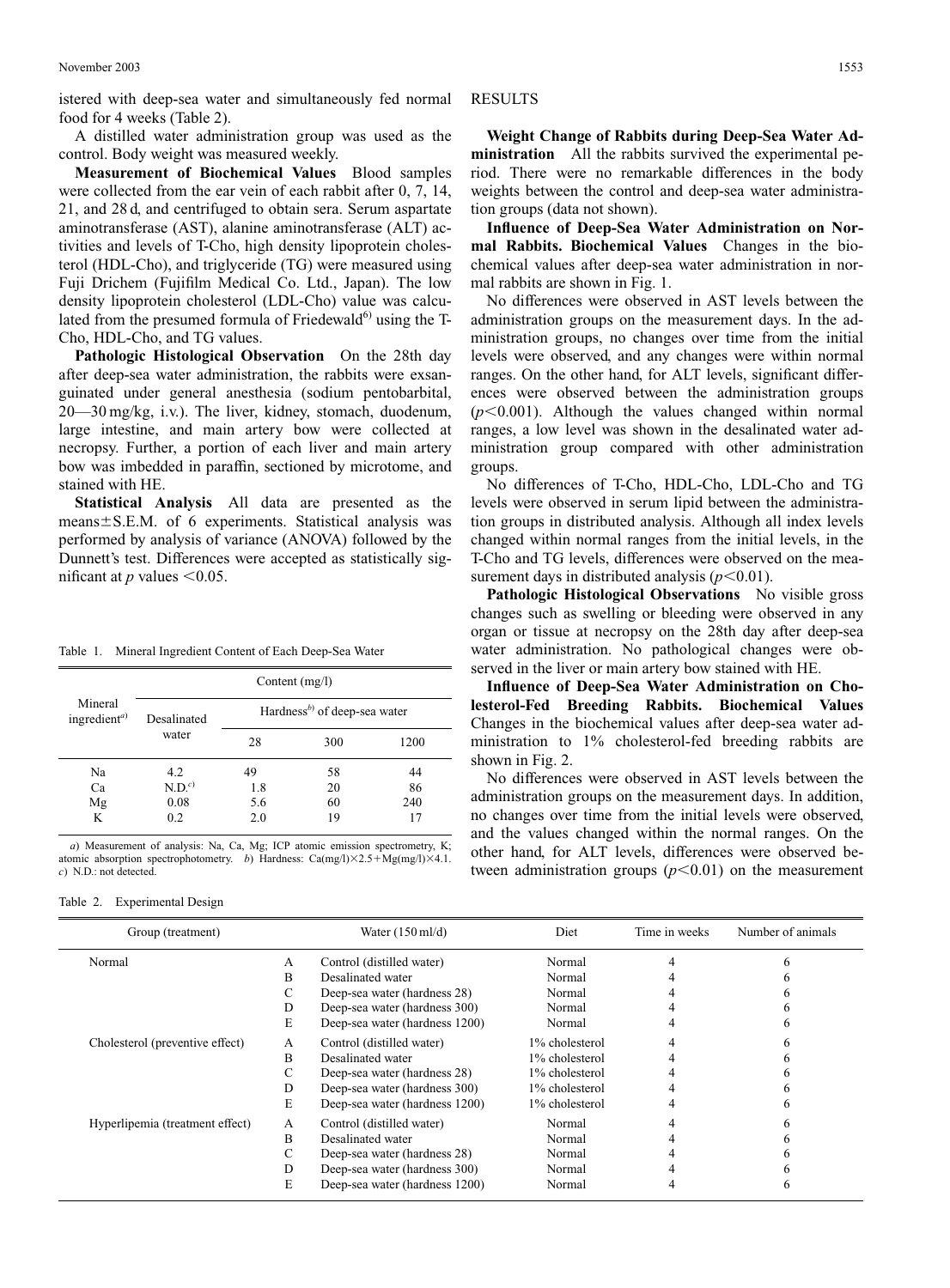istered with deep-sea water and simultaneously fed normal food for 4 weeks (Table 2).

A distilled water administration group was used as the control. Body weight was measured weekly.

**Measurement of Biochemical Values** Blood samples were collected from the ear vein of each rabbit after 0, 7, 14, 21, and 28 d, and centrifuged to obtain sera. Serum aspartate aminotransferase (AST), alanine aminotransferase (ALT) activities and levels of T-Cho, high density lipoprotein cholesterol (HDL-Cho), and triglyceride (TG) were measured using Fuji Drichem (Fujifilm Medical Co. Ltd., Japan). The low density lipoprotein cholesterol (LDL-Cho) value was calculated from the presumed formula of Friedewald $^{6}$ ) using the T-Cho, HDL-Cho, and TG values.

**Pathologic Histological Observation** On the 28th day after deep-sea water administration, the rabbits were exsanguinated under general anesthesia (sodium pentobarbital, 20—30 mg/kg, i.v.). The liver, kidney, stomach, duodenum, large intestine, and main artery bow were collected at necropsy. Further, a portion of each liver and main artery bow was imbedded in paraffin, sectioned by microtome, and stained with HE.

**Statistical Analysis** All data are presented as the means $\pm$ S.E.M. of 6 experiments. Statistical analysis was performed by analysis of variance (ANOVA) followed by the Dunnett's test. Differences were accepted as statistically significant at  $p$  values  $\leq 0.05$ .

Table 1. Mineral Ingredient Content of Each Deep-Sea Water

| Mineral<br>ingredient <sup>a)</sup> | Content $(mg/l)$     |                                         |     |      |  |  |
|-------------------------------------|----------------------|-----------------------------------------|-----|------|--|--|
|                                     | Desalinated<br>water | Hardness <sup>b</sup> of deep-sea water |     |      |  |  |
|                                     |                      | 28                                      | 300 | 1200 |  |  |
| Na                                  | 4.2                  | 49                                      | 58  | 44   |  |  |
| Ca                                  | N.D. <sup>c</sup>    | 1.8                                     | 20  | 86   |  |  |
| Mg                                  | 0.08                 | 5.6                                     | 60  | 240  |  |  |
| K                                   | 0.2                  | 2.0                                     | 19  | 17   |  |  |

*a*) Measurement of analysis: Na, Ca, Mg; ICP atomic emission spectrometry, K; atomic absorption spectrophotometry. *b*) Hardness: Ca(mg/l)×2.5+Mg(mg/l)×4.1. *c*) N.D.: not detected.

Table 2. Experimental Design

## RESULTS

**Weight Change of Rabbits during Deep-Sea Water Administration** All the rabbits survived the experimental period. There were no remarkable differences in the body weights between the control and deep-sea water administration groups (data not shown).

**Influence of Deep-Sea Water Administration on Normal Rabbits. Biochemical Values** Changes in the biochemical values after deep-sea water administration in normal rabbits are shown in Fig. 1.

No differences were observed in AST levels between the administration groups on the measurement days. In the administration groups, no changes over time from the initial levels were observed, and any changes were within normal ranges. On the other hand, for ALT levels, significant differences were observed between the administration groups  $(p<0.001)$ . Although the values changed within normal ranges, a low level was shown in the desalinated water administration group compared with other administration groups.

No differences of T-Cho, HDL-Cho, LDL-Cho and TG levels were observed in serum lipid between the administration groups in distributed analysis. Although all index levels changed within normal ranges from the initial levels, in the T-Cho and TG levels, differences were observed on the measurement days in distributed analysis  $(p<0.01)$ .

**Pathologic Histological Observations** No visible gross changes such as swelling or bleeding were observed in any organ or tissue at necropsy on the 28th day after deep-sea water administration. No pathological changes were observed in the liver or main artery bow stained with HE.

**Influence of Deep-Sea Water Administration on Cholesterol-Fed Breeding Rabbits. Biochemical Values** Changes in the biochemical values after deep-sea water administration to 1% cholesterol-fed breeding rabbits are shown in Fig. 2.

No differences were observed in AST levels between the administration groups on the measurement days. In addition, no changes over time from the initial levels were observed, and the values changed within the normal ranges. On the other hand, for ALT levels, differences were observed between administration groups  $(p<0.01)$  on the measurement

| Group (treatment)               |   | Water $(150 \text{ ml/d})$     | Diet           | Time in weeks | Number of animals |
|---------------------------------|---|--------------------------------|----------------|---------------|-------------------|
| Normal                          | A | Control (distilled water)      | Normal         |               |                   |
|                                 | B | Desalinated water              | Normal         |               |                   |
|                                 | С | Deep-sea water (hardness 28)   | Normal         |               |                   |
|                                 | D | Deep-sea water (hardness 300)  | Normal         |               |                   |
|                                 | E | Deep-sea water (hardness 1200) | Normal         |               |                   |
| Cholesterol (preventive effect) | A | Control (distilled water)      | 1% cholesterol |               |                   |
|                                 | B | Desalinated water              | 1% cholesterol |               |                   |
|                                 | С | Deep-sea water (hardness 28)   | 1% cholesterol |               |                   |
|                                 | D | Deep-sea water (hardness 300)  | 1% cholesterol |               |                   |
|                                 | E | Deep-sea water (hardness 1200) | 1% cholesterol |               |                   |
| Hyperlipemia (treatment effect) | A | Control (distilled water)      | Normal         |               |                   |
|                                 | B | Desalinated water              | Normal         |               |                   |
|                                 | С | Deep-sea water (hardness 28)   | Normal         |               |                   |
|                                 | D | Deep-sea water (hardness 300)  | Normal         |               |                   |
|                                 | E | Deep-sea water (hardness 1200) | Normal         |               |                   |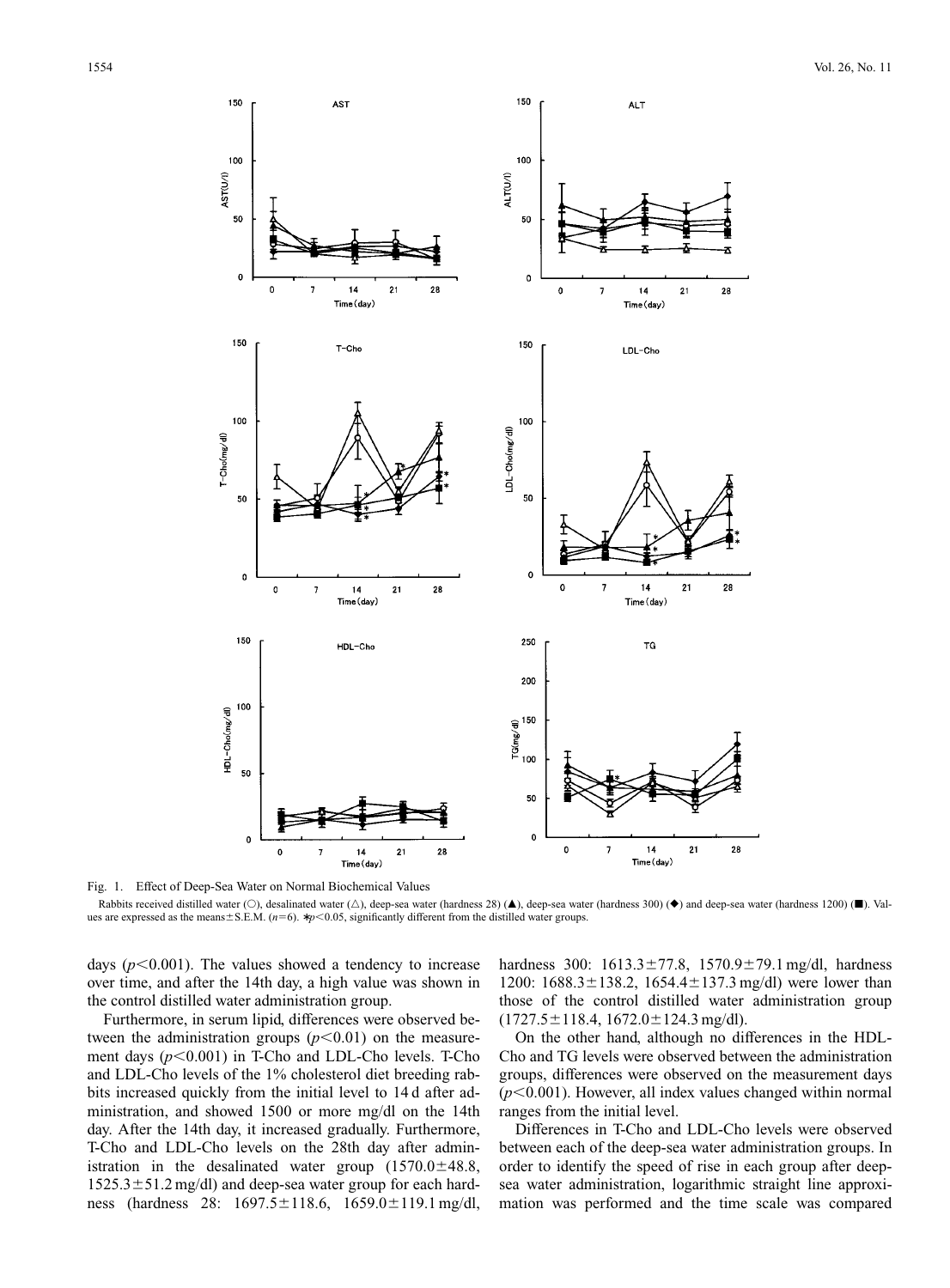

Fig. 1. Effect of Deep-Sea Water on Normal Biochemical Values

Rabbits received distilled water (O), desalinated water ( $\triangle$ ), deep-sea water (hardness 28) ( $\blacktriangle$ ), deep-sea water (hardness 300) ( $\blacklozenge$ ) and deep-sea water (hardness 1200) ( $\blacksquare$ ). Values are expressed as the means $\pm$ S.E.M. ( $n=6$ ).  $\ast p<0.05$ , significantly different from the distilled water groups.

days  $(p<0.001)$ . The values showed a tendency to increase over time, and after the 14th day, a high value was shown in the control distilled water administration group.

Furthermore, in serum lipid, differences were observed between the administration groups  $(p<0.01)$  on the measurement days  $(p<0.001)$  in T-Cho and LDL-Cho levels. T-Cho and LDL-Cho levels of the 1% cholesterol diet breeding rabbits increased quickly from the initial level to 14 d after administration, and showed 1500 or more mg/dl on the 14th day. After the 14th day, it increased gradually. Furthermore, T-Cho and LDL-Cho levels on the 28th day after administration in the desalinated water group  $(1570.0 \pm 48.8,$  $1525.3 \pm 51.2$  mg/dl) and deep-sea water group for each hardness (hardness 28: 1697.5 ± 118.6, 1659.0 ± 119.1 mg/dl, hardness 300:  $1613.3 \pm 77.8$ ,  $1570.9 \pm 79.1$  mg/dl, hardness 1200:  $1688.3 \pm 138.2$ ,  $1654.4 \pm 137.3$  mg/dl) were lower than those of the control distilled water administration group  $(1727.5 \pm 118.4, 1672.0 \pm 124.3 \text{ mg/dl}).$ 

On the other hand, although no differences in the HDL-Cho and TG levels were observed between the administration groups, differences were observed on the measurement days  $(p<0.001)$ . However, all index values changed within normal ranges from the initial level.

Differences in T-Cho and LDL-Cho levels were observed between each of the deep-sea water administration groups. In order to identify the speed of rise in each group after deepsea water administration, logarithmic straight line approximation was performed and the time scale was compared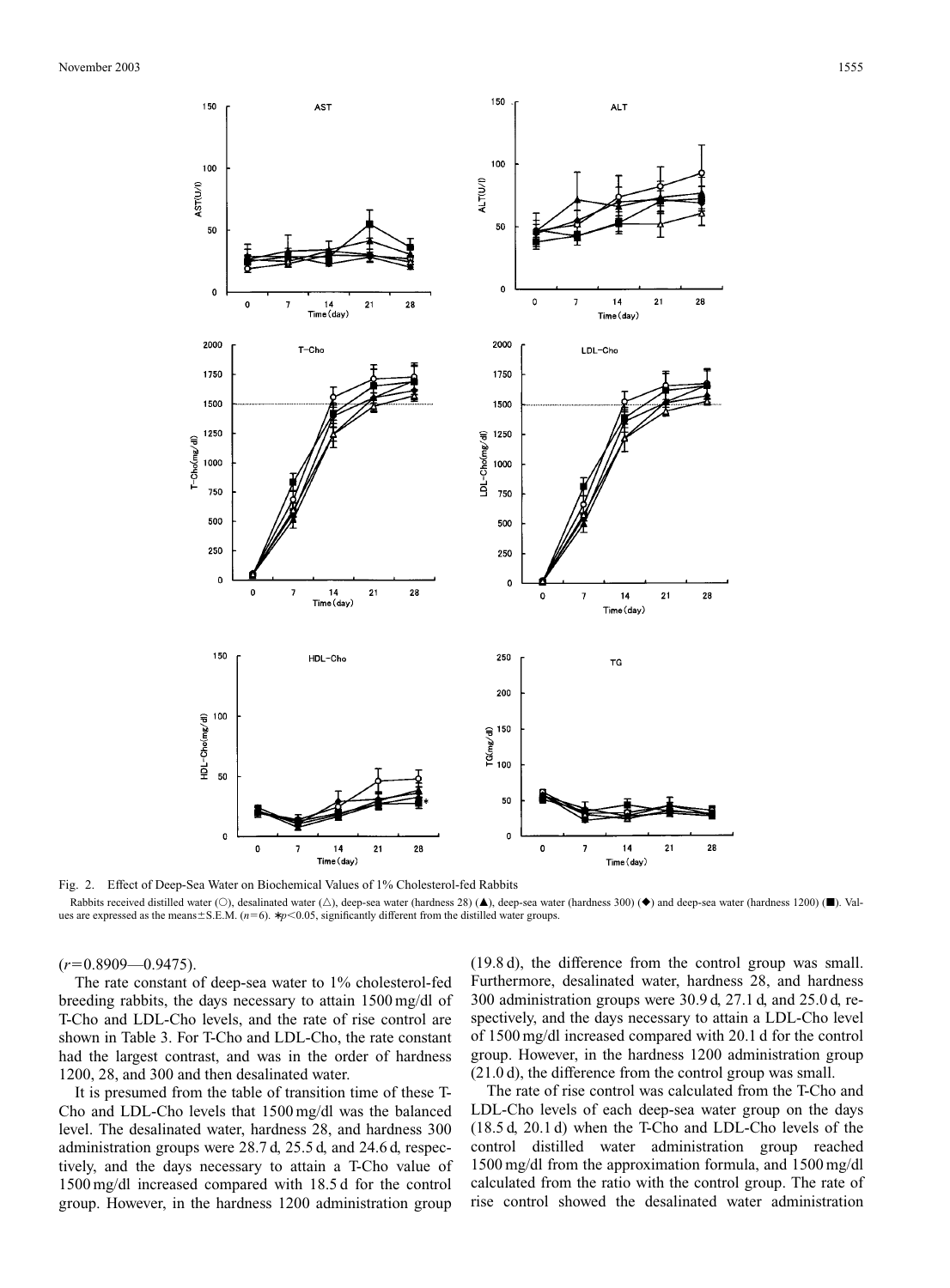

Fig. 2. Effect of Deep-Sea Water on Biochemical Values of 1% Cholesterol-fed Rabbits

Rabbits received distilled water ( $\odot$ ), desalinated water ( $\triangle$ ), deep-sea water (hardness 28) ( $\blacktriangle$ ), deep-sea water (hardness 300) ( $\blacklozenge$ ) and deep-sea water (hardness 1200) ( $\blacksquare$ ). Values are expressed as the means±S.E.M. (*n*=6). \* *p*<0.05, significantly different from the distilled water groups.

 $(r=0.8909-0.9475)$ .

The rate constant of deep-sea water to 1% cholesterol-fed breeding rabbits, the days necessary to attain 1500 mg/dl of T-Cho and LDL-Cho levels, and the rate of rise control are shown in Table 3. For T-Cho and LDL-Cho, the rate constant had the largest contrast, and was in the order of hardness 1200, 28, and 300 and then desalinated water.

It is presumed from the table of transition time of these T-Cho and LDL-Cho levels that 1500 mg/dl was the balanced level. The desalinated water, hardness 28, and hardness 300 administration groups were 28.7 d, 25.5 d, and 24.6 d, respectively, and the days necessary to attain a T-Cho value of 1500 mg/dl increased compared with 18.5 d for the control group. However, in the hardness 1200 administration group

(19.8 d), the difference from the control group was small. Furthermore, desalinated water, hardness 28, and hardness 300 administration groups were 30.9 d, 27.1 d, and 25.0 d, respectively, and the days necessary to attain a LDL-Cho level of 1500 mg/dl increased compared with 20.1 d for the control group. However, in the hardness 1200 administration group (21.0 d), the difference from the control group was small.

The rate of rise control was calculated from the T-Cho and LDL-Cho levels of each deep-sea water group on the days (18.5 d, 20.1 d) when the T-Cho and LDL-Cho levels of the control distilled water administration group reached 1500 mg/dl from the approximation formula, and 1500 mg/dl calculated from the ratio with the control group. The rate of rise control showed the desalinated water administration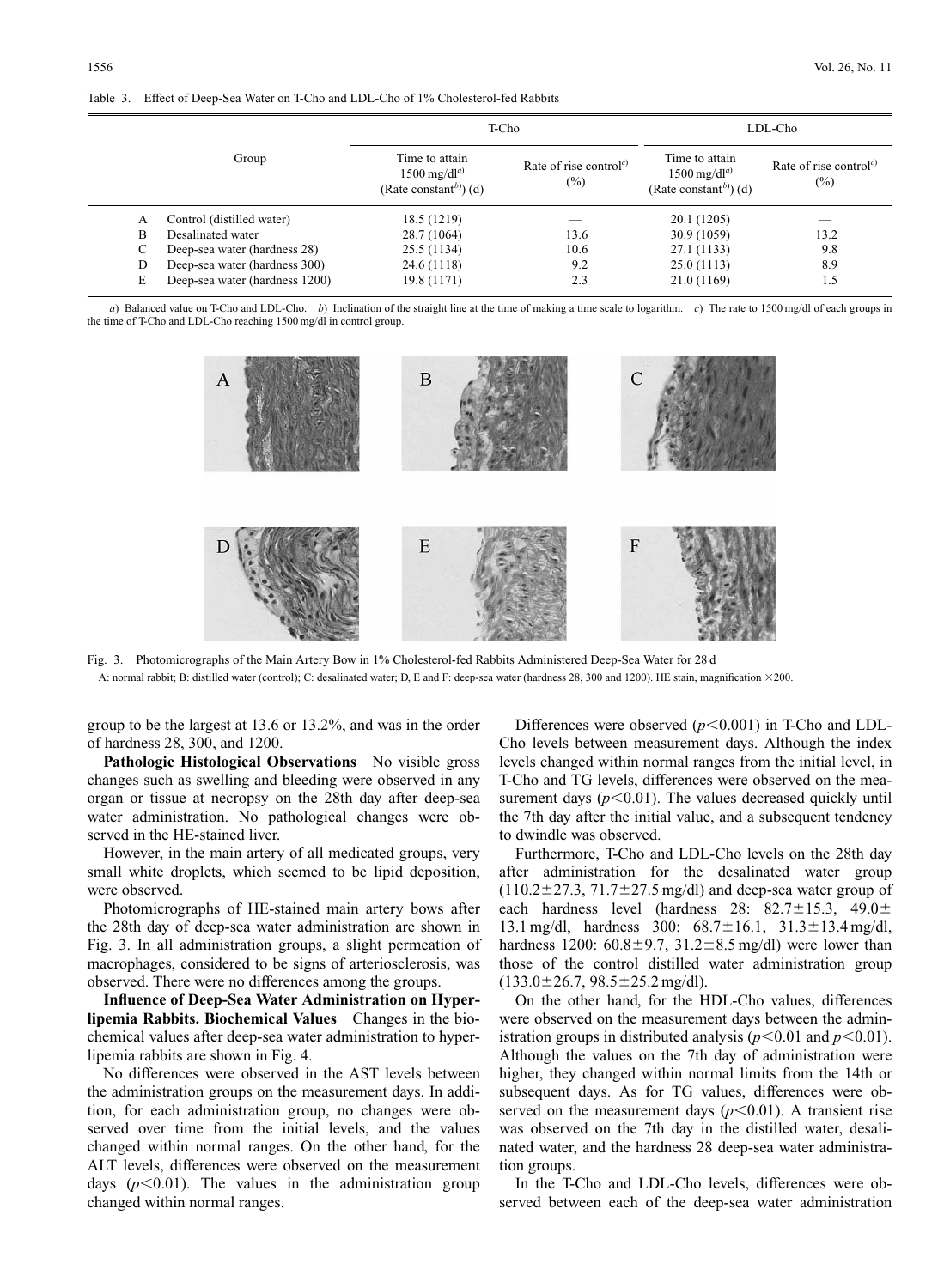Table 3. Effect of Deep-Sea Water on T-Cho and LDL-Cho of 1% Cholesterol-fed Rabbits

|       |                                | T-Cho                                                                                |                                                           | LDL-Cho                                                                              |                                                           |
|-------|--------------------------------|--------------------------------------------------------------------------------------|-----------------------------------------------------------|--------------------------------------------------------------------------------------|-----------------------------------------------------------|
| Group |                                | Time to attain<br>$1500 \,\mathrm{mg/dl}^{a)}$<br>(Rate constant <sup>b)</sup> ) (d) | Rate of rise control <sup><math>c</math>)</sup><br>$(\%)$ | Time to attain<br>$1500 \,\mathrm{mg/dl}^{a)}$<br>(Rate constant <sup>b)</sup> ) (d) | Rate of rise control <sup><math>c</math>)</sup><br>$(\%)$ |
| А     | Control (distilled water)      | 18.5 (1219)                                                                          |                                                           | 20.1 (1205)                                                                          |                                                           |
| B     | Desalinated water              | 28.7 (1064)                                                                          | 13.6                                                      | 30.9(1059)                                                                           | 13.2                                                      |
| С     | Deep-sea water (hardness 28)   | 25.5 (1134)                                                                          | 10.6                                                      | 27.1 (1133)                                                                          | 9.8                                                       |
| D     | Deep-sea water (hardness 300)  | 24.6 (1118)                                                                          | 9.2                                                       | 25.0(1113)                                                                           | 8.9                                                       |
| E     | Deep-sea water (hardness 1200) | 19.8 (1171)                                                                          | 2.3                                                       | 21.0 (1169)                                                                          | 1.5                                                       |

*a*) Balanced value on T-Cho and LDL-Cho. *b*) Inclination of the straight line at the time of making a time scale to logarithm. *c*) The rate to 1500 mg/dl of each groups in the time of T-Cho and LDL-Cho reaching 1500 mg/dl in control group.



Fig. 3. Photomicrographs of the Main Artery Bow in 1% Cholesterol-fed Rabbits Administered Deep-Sea Water for 28 d A: normal rabbit; B: distilled water (control); C: desalinated water; D, E and F: deep-sea water (hardness 28, 300 and 1200). HE stain, magnification ×200.

group to be the largest at 13.6 or 13.2%, and was in the order of hardness 28, 300, and 1200.

**Pathologic Histological Observations** No visible gross changes such as swelling and bleeding were observed in any organ or tissue at necropsy on the 28th day after deep-sea water administration. No pathological changes were observed in the HE-stained liver.

However, in the main artery of all medicated groups, very small white droplets, which seemed to be lipid deposition, were observed.

Photomicrographs of HE-stained main artery bows after the 28th day of deep-sea water administration are shown in Fig. 3. In all administration groups, a slight permeation of macrophages, considered to be signs of arteriosclerosis, was observed. There were no differences among the groups.

**Influence of Deep-Sea Water Administration on Hyperlipemia Rabbits. Biochemical Values** Changes in the biochemical values after deep-sea water administration to hyperlipemia rabbits are shown in Fig. 4.

No differences were observed in the AST levels between the administration groups on the measurement days. In addition, for each administration group, no changes were observed over time from the initial levels, and the values changed within normal ranges. On the other hand, for the ALT levels, differences were observed on the measurement days  $(p<0.01)$ . The values in the administration group changed within normal ranges.

Differences were observed  $(p<0.001)$  in T-Cho and LDL-Cho levels between measurement days. Although the index levels changed within normal ranges from the initial level, in T-Cho and TG levels, differences were observed on the measurement days  $(p<0.01)$ . The values decreased quickly until the 7th day after the initial value, and a subsequent tendency to dwindle was observed.

Furthermore, T-Cho and LDL-Cho levels on the 28th day after administration for the desalinated water group  $(110.2 \pm 27.3, 71.7 \pm 27.5$  mg/dl) and deep-sea water group of each hardness level (hardness  $28: 82.7 \pm 15.3$ ,  $49.0 \pm$ 13.1 mg/dl, hardness 300:  $68.7 \pm 16.1$ ,  $31.3 \pm 13.4$  mg/dl, hardness 1200:  $60.8 \pm 9.7$ ,  $31.2 \pm 8.5$  mg/dl) were lower than those of the control distilled water administration group  $(133.0 \pm 26.7, 98.5 \pm 25.2 \text{ mg/dl}).$ 

On the other hand, for the HDL-Cho values, differences were observed on the measurement days between the administration groups in distributed analysis ( $p$ <0.01 and  $p$ <0.01). Although the values on the 7th day of administration were higher, they changed within normal limits from the 14th or subsequent days. As for TG values, differences were observed on the measurement days  $(p<0.01)$ . A transient rise was observed on the 7th day in the distilled water, desalinated water, and the hardness 28 deep-sea water administration groups.

In the T-Cho and LDL-Cho levels, differences were observed between each of the deep-sea water administration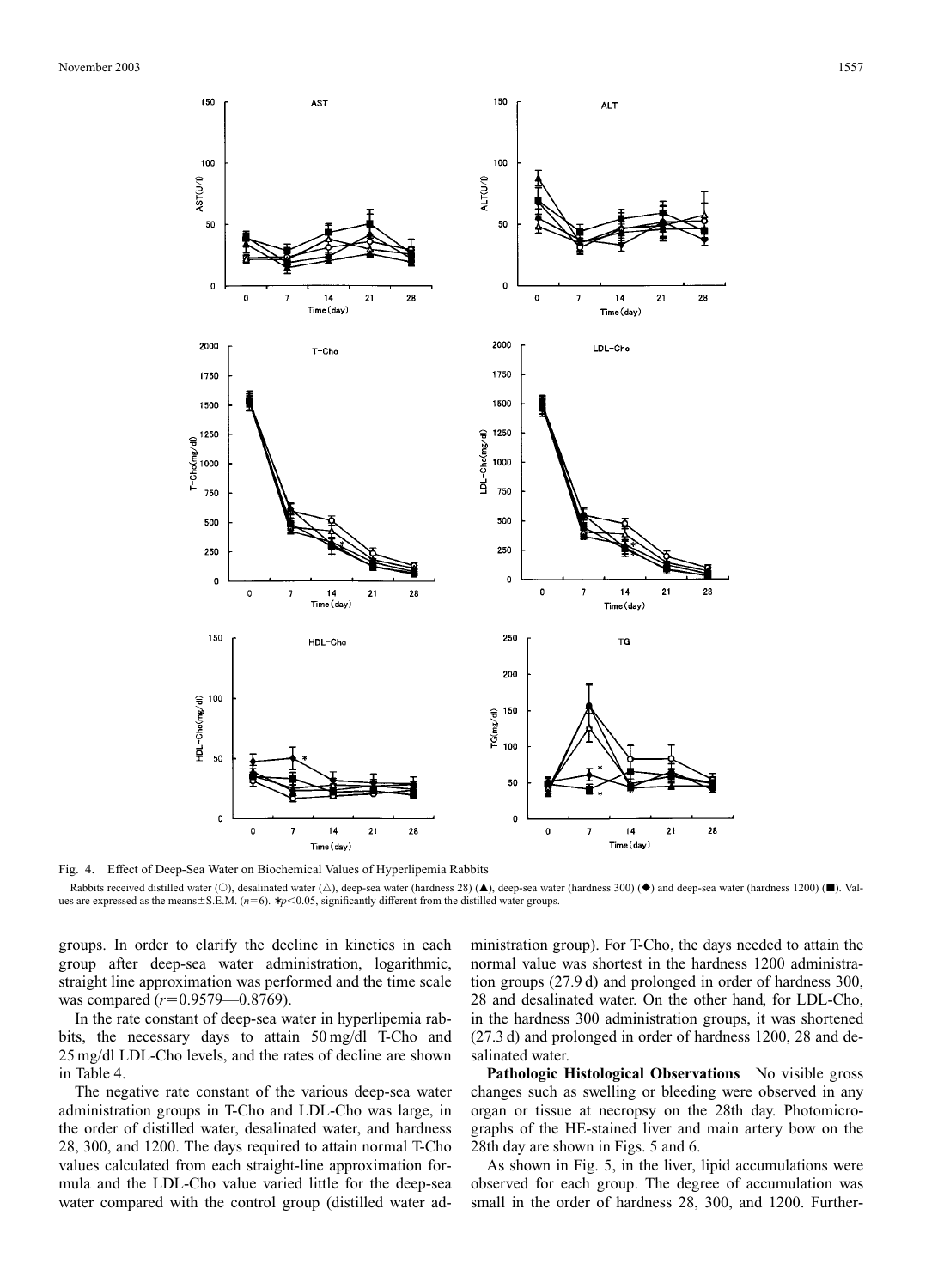

Fig. 4. Effect of Deep-Sea Water on Biochemical Values of Hyperlipemia Rabbits

Rabbits received distilled water (O), desalinated water ( $\triangle$ ), deep-sea water (hardness 28) ( $\blacktriangle$ ), deep-sea water (hardness 300) ( $\blacklozenge$ ) and deep-sea water (hardness 1200) ( $\blacksquare$ ). Values are expressed as the means $\pm$ S.E.M. ( $n=6$ ).  $\ast p$ <0.05, significantly different from the distilled water groups.

groups. In order to clarify the decline in kinetics in each group after deep-sea water administration, logarithmic, straight line approximation was performed and the time scale was compared  $(r=0.9579-0.8769)$ .

In the rate constant of deep-sea water in hyperlipemia rabbits, the necessary days to attain 50 mg/dl T-Cho and 25 mg/dl LDL-Cho levels, and the rates of decline are shown in Table 4.

The negative rate constant of the various deep-sea water administration groups in T-Cho and LDL-Cho was large, in the order of distilled water, desalinated water, and hardness 28, 300, and 1200. The days required to attain normal T-Cho values calculated from each straight-line approximation formula and the LDL-Cho value varied little for the deep-sea water compared with the control group (distilled water administration group). For T-Cho, the days needed to attain the normal value was shortest in the hardness 1200 administration groups (27.9 d) and prolonged in order of hardness 300, 28 and desalinated water. On the other hand, for LDL-Cho, in the hardness 300 administration groups, it was shortened (27.3 d) and prolonged in order of hardness 1200, 28 and desalinated water.

Pathologic Histological Observations No visible gross changes such as swelling or bleeding were observed in any organ or tissue at necropsy on the 28th day. Photomicrographs of the HE-stained liver and main artery bow on the 28th day are shown in Figs. 5 and 6.

As shown in Fig. 5, in the liver, lipid accumulations were observed for each group. The degree of accumulation was small in the order of hardness 28, 300, and 1200. Further-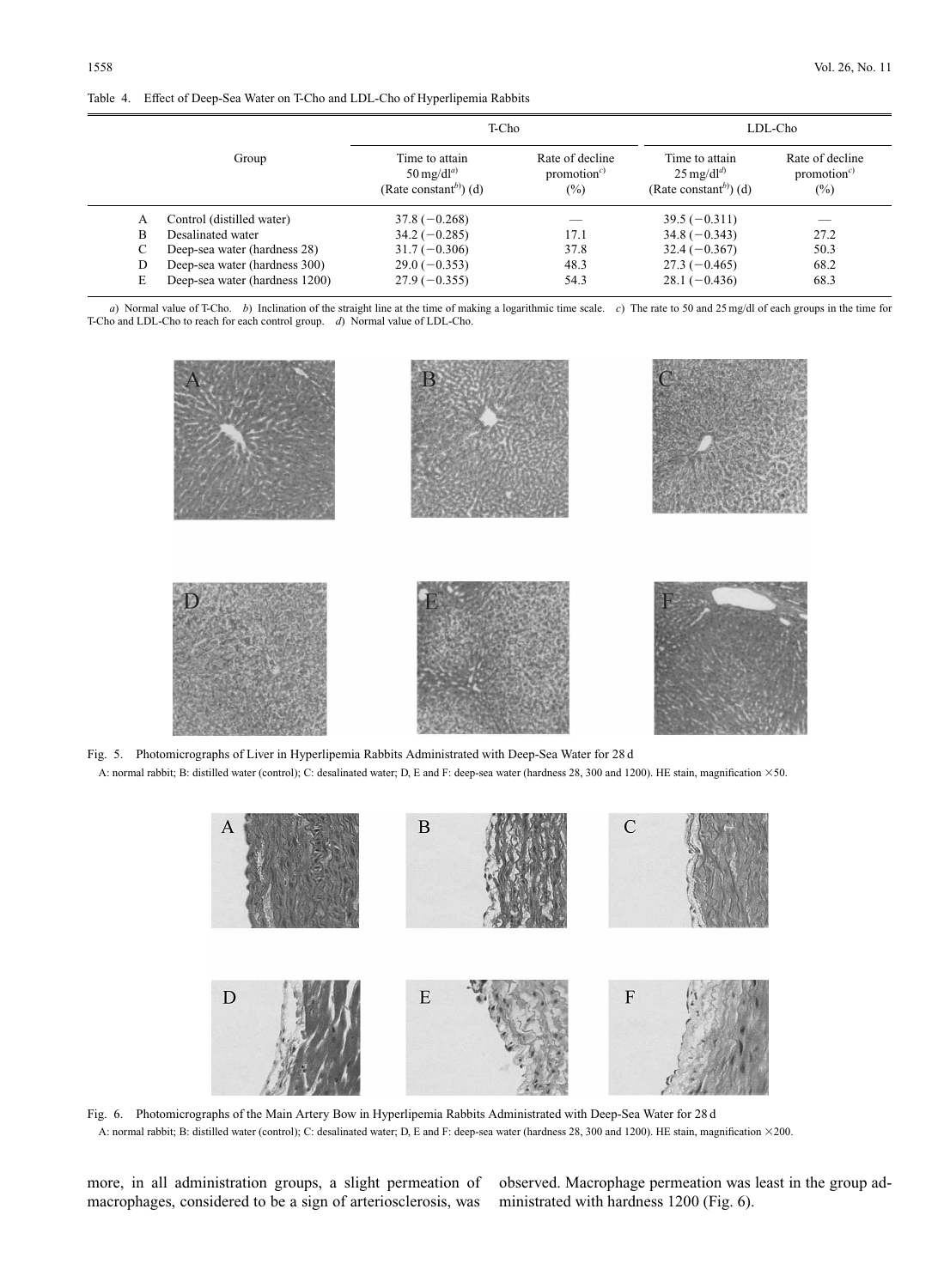#### Table 4. Effect of Deep-Sea Water on T-Cho and LDL-Cho of Hyperlipemia Rabbits

|       |                                | T-Cho                                                                                 |                                                      | LDL-Cho                                                                               |                                                      |
|-------|--------------------------------|---------------------------------------------------------------------------------------|------------------------------------------------------|---------------------------------------------------------------------------------------|------------------------------------------------------|
| Group |                                | Time to attain<br>$50 \text{ mg}/\text{d}l^{a}$<br>(Rate constant <sup>b)</sup> ) (d) | Rate of decline<br>promotion <sup>c)</sup><br>$(\%)$ | Time to attain<br>$25 \text{ mg}/\text{d}l^{d}$<br>(Rate constant <sup>b)</sup> ) (d) | Rate of decline<br>promotion <sup>c)</sup><br>$(\%)$ |
| A     | Control (distilled water)      | $37.8(-0.268)$                                                                        |                                                      | $39.5(-0.311)$                                                                        | $\overline{\phantom{a}}$                             |
| B     | Desalinated water              | $34.2(-0.285)$                                                                        | 17.1                                                 | $34.8(-0.343)$                                                                        | 27.2                                                 |
| C     | Deep-sea water (hardness 28)   | $31.7(-0.306)$                                                                        | 37.8                                                 | $32.4(-0.367)$                                                                        | 50.3                                                 |
| D     | Deep-sea water (hardness 300)  | $29.0(-0.353)$                                                                        | 48.3                                                 | $27.3(-0.465)$                                                                        | 68.2                                                 |
| E     | Deep-sea water (hardness 1200) | $27.9(-0.355)$                                                                        | 54.3                                                 | $28.1(-0.436)$                                                                        | 68.3                                                 |

*a*) Normal value of T-Cho. *b*) Inclination of the straight line at the time of making a logarithmic time scale. *c*) The rate to 50 and 25 mg/dl of each groups in the time for T-Cho and LDL-Cho to reach for each control group. *d*) Normal value of LDL-Cho.



Fig. 5. Photomicrographs of Liver in Hyperlipemia Rabbits Administrated with Deep-Sea Water for 28 d A: normal rabbit; B: distilled water (control); C: desalinated water; D, E and F: deep-sea water (hardness 28, 300 and 1200). HE stain, magnification 350.



Fig. 6. Photomicrographs of the Main Artery Bow in Hyperlipemia Rabbits Administrated with Deep-Sea Water for 28 d A: normal rabbit; B: distilled water (control); C: desalinated water; D, E and F: deep-sea water (hardness 28, 300 and 1200). HE stain, magnification 3200.

more, in all administration groups, a slight permeation of macrophages, considered to be a sign of arteriosclerosis, was

observed. Macrophage permeation was least in the group administrated with hardness 1200 (Fig. 6).